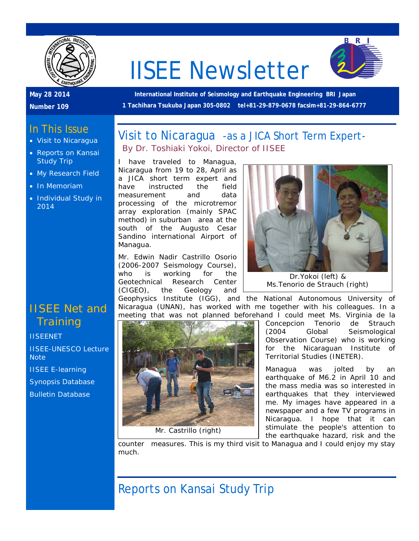

# IISEE Newsletter



# **May 28 2014**

**Number 109**

**International Institute of Seismology and Earthquake Engineering BRI Japan 1 Tachihara Tsukuba Japan 305-0802 tel+81-29-879-0678 facsim+81-29-864-6777**

# In This Issue

- Visit to Nicaragua
- Reports on Kansai Study Trip
- My Research Field
- In Memoriam
- Individual Study in 2014

# IISEE Net and **Training**

**[IISEENET](http://iisee.kenken.go.jp/net/)** 

[IISEE-UNESCO Lecture](http://iisee/lna/)  **[Note](http://iisee/lna/)** 

[IISEE E-learning](http://iisee/el/)

[Synopsis Database](http://iisee/syndb/)

[Bulletin Database](http://iisee/bltndb/)

## Visit to Nicaragua -as a JICA Short Term Expert-*By Dr. Toshiaki Yokoi, Director of IISEE*

I have traveled to Managua, Nicaragua from 19 to 28, April as a JICA short term expert and have instructed the field measurement and data processing of the microtremor array exploration (mainly SPAC method) in suburban area at the south of the Augusto Cesar Sandino international Airport of Managua.

Mr. Edwin Nadir Castrillo Osorio (2006-2007 Seismology Course), who is working for the Geotechnical Research Center (CIGEO), the Geology and



Dr.Yokoi (left) & Ms.Tenorio de Strauch (right)

Geophysics Institute (IGG), and the National Autonomous University of Nicaragua (UNAN), has worked with me together with his colleagues. In a meeting that was not planned beforehand I could meet Ms. Virginia de la



Concepcion Tenorio de Strauch (2004 Global Seismological Observation Course) who is working for the Nicaraguan Institute of Territorial Studies (INETER).

Managua was jolted by an earthquake of M6.2 in April 10 and the mass media was so interested in earthquakes that they interviewed me. My images have appeared in a newspaper and a few TV programs in Nicaragua. I hope that it can stimulate the people's attention to the earthquake hazard, risk and the

counter measures. This is my third visit to Managua and I could enjoy my stay much.

# Reports on Kansai Study Trip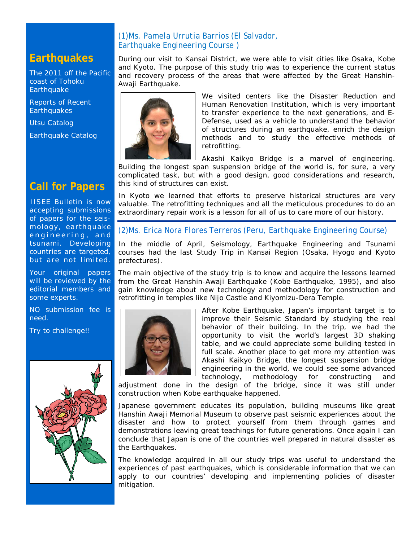# **Earthquakes**

[The 2011 off the Pacific](http://iisee/special2/20110311tohoku.htm)  [coast of Tohoku](http://iisee/special2/20110311tohoku.htm)  **[Earthquake](http://iisee/special2/20110311tohoku.htm)** 

[Reports of Recent](http://iisee/quakes.htm)  **[Earthquakes](http://iisee/quakes.htm)** 

[Utsu Catalog](http://iisee/utsu/index_eng.html)

[Earthquake Catalog](http://iisee/eqcat/Top_page_en.htm)

#### **Call for Papers**

IISEE Bulletin is now accepting submissions of papers for the seismology, earthquake engineering, and tsunami. Developing countries are targeted, but are not limited.

Your original papers will be reviewed by the editorial members and some experts.

NO submission fee is need.

Try to challenge!!



#### *(1)Ms. Pamela Urrutia Barrios (El Salvador, Earthquake Engineering Course )*

During our visit to Kansai District, we were able to visit cities like Osaka, Kobe and Kyoto. The purpose of this study trip was to experience the current status and recovery process of the areas that were affected by the Great Hanshin-Awaji Earthquake.



We visited centers like the Disaster Reduction and Human Renovation Institution, which is very important to transfer experience to the next generations, and E-Defense, used as a vehicle to understand the behavior of structures during an earthquake, enrich the design methods and to study the effective methods of retrofitting.

Akashi Kaikyo Bridge is a marvel of engineering. Building the longest span suspension bridge of the world is, for sure, a very complicated task, but with a good design, good considerations and research, this kind of structures can exist.

In Kyoto we learned that efforts to preserve historical structures are very valuable. The retrofitting techniques and all the meticulous procedures to do an extraordinary repair work is a lesson for all of us to care more of our history.

#### *(2)Ms. Erica Nora Flores Terreros (Peru, Earthquake Engineering Course)*

In the middle of April, Seismology, Earthquake Engineering and Tsunami courses had the last Study Trip in Kansai Region (Osaka, Hyogo and Kyoto prefectures).

The main objective of the study trip is to know and acquire the lessons learned from the Great Hanshin-Awaji Earthquake (Kobe Earthquake, 1995), and also gain knowledge about new technology and methodology for construction and retrofitting in temples like Nijo Castle and Kiyomizu-Dera Temple.



After Kobe Earthquake, Japan's important target is to improve their Seismic Standard by studying the real behavior of their building. In the trip, we had the opportunity to visit the world's largest 3D shaking table, and we could appreciate some building tested in full scale. Another place to get more my attention was Akashi Kaikyo Bridge, the longest suspension bridge engineering in the world, we could see some advanced technology, methodology for constructing and

adjustment done in the design of the bridge, since it was still under construction when Kobe earthquake happened.

Japanese government educates its population, building museums like great Hanshin Awaji Memorial Museum to observe past seismic experiences about the disaster and how to protect yourself from them through games and demonstrations leaving great teachings for future generations. Once again I can conclude that Japan is one of the countries well prepared in natural disaster as the Earthquakes.

The knowledge acquired in all our study trips was useful to understand the experiences of past earthquakes, which is considerable information that we can apply to our countries' developing and implementing policies of disaster mitigation.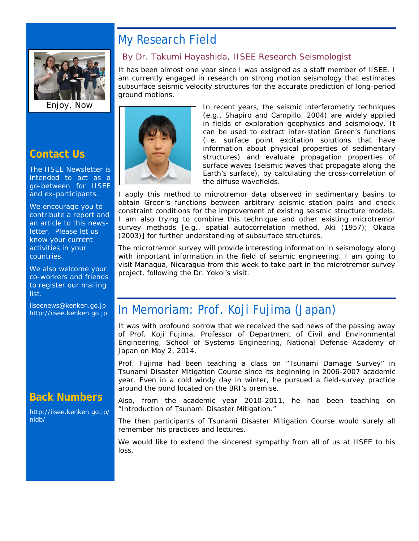# My Research Field



Enjoy, Now

## **Contact Us**

The IISEE Newsletter is intended to act as a go-between for IISEE and ex-participants.

We encourage you to contribute a report and an article to this newsletter. Please let us know your current activities in your countries.

We also welcome your co-workers and friends to register our mailing list.

iiseenews@kenken.go.jp [http://iisee.kenken.go.jp](http://iisee.kenken.go.jp/)

# **Back Numbers**

[http://iisee.kenken.go.jp/](http://iisee.kenken.go.jp/nldb/) [nldb/](http://iisee.kenken.go.jp/nldb/)

#### *By Dr. Takumi Hayashida, IISEE Research Seismologist*

It has been almost one year since I was assigned as a staff member of IISEE. I am currently engaged in research on strong motion seismology that estimates subsurface seismic velocity structures for the accurate prediction of long-period ground motions.



In recent years, the seismic interferometry techniques (e.g., Shapiro and Campillo, 2004) are widely applied in fields of exploration geophysics and seismology. It can be used to extract inter-station Green's functions (i.e. surface point excitation solutions that have information about physical properties of sedimentary structures) and evaluate propagation properties of surface waves (seismic waves that propagate along the Earth's surface), by calculating the cross-correlation of the diffuse wavefields.

I apply this method to microtremor data observed in sedimentary basins to obtain Green's functions between arbitrary seismic station pairs and check constraint conditions for the improvement of existing seismic structure models. I am also trying to combine this technique and other existing microtremor survey methods [e.g., spatial autocorrelation method, Aki (1957); Okada (2003)] for further understanding of subsurface structures.

The microtremor survey will provide interesting information in seismology along with important information in the field of seismic engineering. I am going to visit Managua, Nicaragua from this week to take part in the microtremor survey project, following the Dr. Yokoi's visit.

# In Memoriam: Prof. Koji Fujima (Japan)

It was with profound sorrow that we received the sad news of the passing away of Prof. Koji Fujima, Professor of Department of Civil and Environmental Engineering, School of Systems Engineering, National Defense Academy of Japan on May 2, 2014.

Prof. Fujima had been teaching a class on "Tsunami Damage Survey" in Tsunami Disaster Mitigation Course since its beginning in 2006-2007 academic year. Even in a cold windy day in winter, he pursued a field-survey practice around the pond located on the BRI's premise.

Also, from the academic year 2010-2011, he had been teaching on "Introduction of Tsunami Disaster Mitigation."

The then participants of Tsunami Disaster Mitigation Course would surely all remember his practices and lectures.

We would like to extend the sincerest sympathy from all of us at IISEE to his loss.